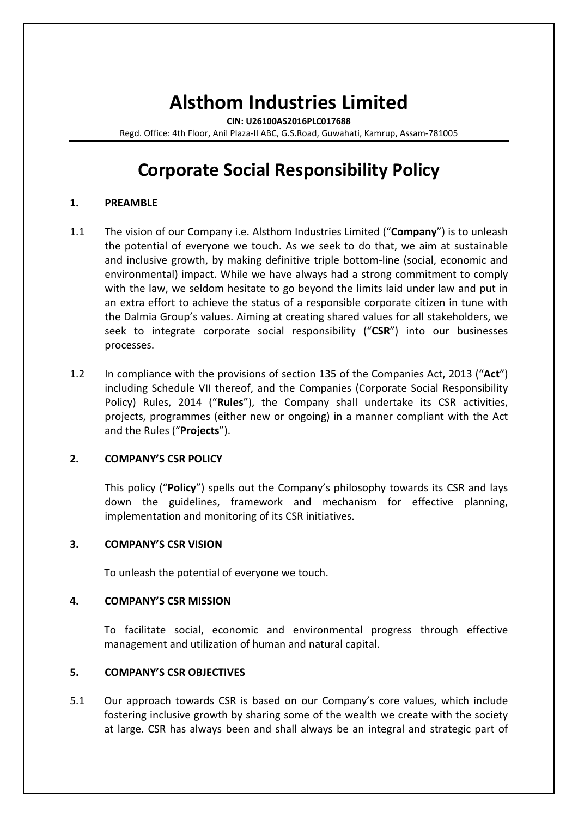# **Alsthom Industries Limited**

**CIN: U26100AS2016PLC017688**

Regd. Office: 4th Floor, Anil Plaza-II ABC, G.S.Road, Guwahati, Kamrup, Assam-781005

## **Corporate Social Responsibility Policy**

## **1. PREAMBLE**

- 1.1 The vision of our Company i.e. Alsthom Industries Limited ("**Company**") is to unleash the potential of everyone we touch. As we seek to do that, we aim at sustainable and inclusive growth, by making definitive triple bottom-line (social, economic and environmental) impact. While we have always had a strong commitment to comply with the law, we seldom hesitate to go beyond the limits laid under law and put in an extra effort to achieve the status of a responsible corporate citizen in tune with the Dalmia Group's values. Aiming at creating shared values for all stakeholders, we seek to integrate corporate social responsibility ("**CSR**") into our businesses processes.
- 1.2 In compliance with the provisions of section 135 of the Companies Act, 2013 ("**Act**") including Schedule VII thereof, and the Companies (Corporate Social Responsibility Policy) Rules, 2014 ("**Rules**"), the Company shall undertake its CSR activities, projects, programmes (either new or ongoing) in a manner compliant with the Act and the Rules ("**Projects**").

## **2. COMPANY'S CSR POLICY**

This policy ("**Policy**") spells out the Company's philosophy towards its CSR and lays down the guidelines, framework and mechanism for effective planning, implementation and monitoring of its CSR initiatives.

## **3. COMPANY'S CSR VISION**

To unleash the potential of everyone we touch.

#### **4. COMPANY'S CSR MISSION**

To facilitate social, economic and environmental progress through effective management and utilization of human and natural capital.

## **5. COMPANY'S CSR OBJECTIVES**

5.1 Our approach towards CSR is based on our Company's core values, which include fostering inclusive growth by sharing some of the wealth we create with the society at large. CSR has always been and shall always be an integral and strategic part of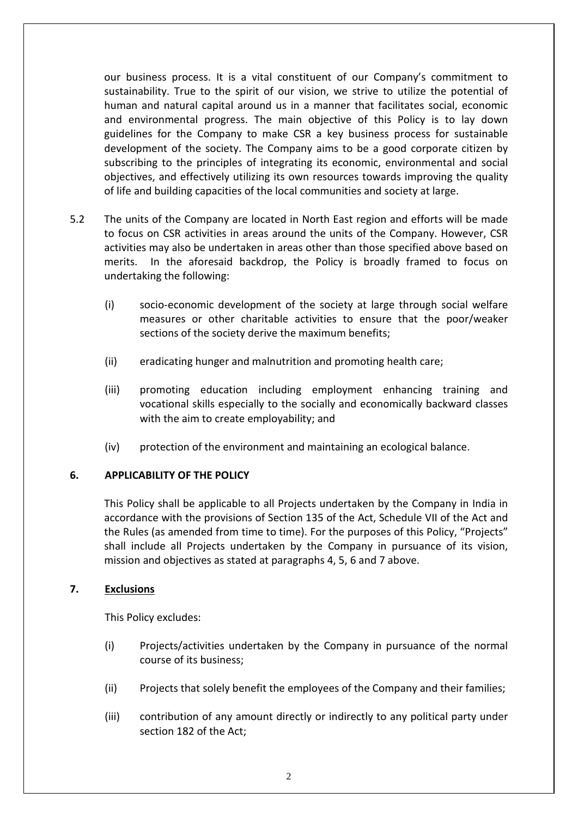our business process. It is a vital constituent of our Company's commitment to sustainability. True to the spirit of our vision, we strive to utilize the potential of human and natural capital around us in a manner that facilitates social, economic and environmental progress. The main objective of this Policy is to lay down guidelines for the Company to make CSR a key business process for sustainable development of the society. The Company aims to be a good corporate citizen by subscribing to the principles of integrating its economic, environmental and social objectives, and effectively utilizing its own resources towards improving the quality of life and building capacities of the local communities and society at large.

- 5.2 The units of the Company are located in North East region and efforts will be made to focus on CSR activities in areas around the units of the Company. However, CSR activities may also be undertaken in areas other than those specified above based on merits. In the aforesaid backdrop, the Policy is broadly framed to focus on undertaking the following:
	- (i) socio-economic development of the society at large through social welfare measures or other charitable activities to ensure that the poor/weaker sections of the society derive the maximum benefits;
	- (ii) eradicating hunger and malnutrition and promoting health care;
	- (iii) promoting education including employment enhancing training and vocational skills especially to the socially and economically backward classes with the aim to create employability; and
	- (iv) protection of the environment and maintaining an ecological balance.

## **6. APPLICABILITY OF THE POLICY**

This Policy shall be applicable to all Projects undertaken by the Company in India in accordance with the provisions of Section 135 of the Act, Schedule VII of the Act and the Rules (as amended from time to time). For the purposes of this Policy, "Projects" shall include all Projects undertaken by the Company in pursuance of its vision, mission and objectives as stated at paragraphs 4, 5, 6 and 7 above.

## **7. Exclusions**

This Policy excludes:

- (i) Projects/activities undertaken by the Company in pursuance of the normal course of its business;
- (ii) Projects that solely benefit the employees of the Company and their families;
- (iii) contribution of any amount directly or indirectly to any political party under section 182 of the Act;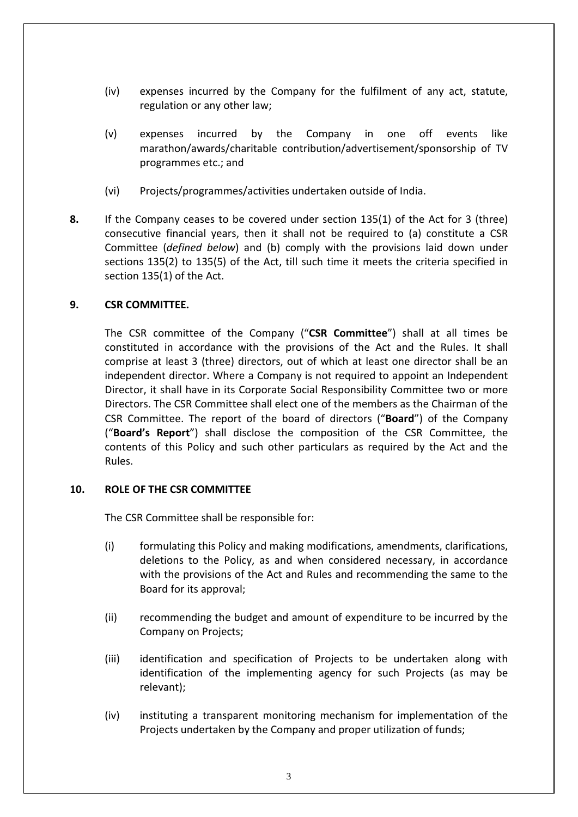- (iv) expenses incurred by the Company for the fulfilment of any act, statute, regulation or any other law;
- (v) expenses incurred by the Company in one off events like marathon/awards/charitable contribution/advertisement/sponsorship of TV programmes etc.; and
- (vi) Projects/programmes/activities undertaken outside of India.
- **8.** If the Company ceases to be covered under section 135(1) of the Act for 3 (three) consecutive financial years, then it shall not be required to (a) constitute a CSR Committee (*defined below*) and (b) comply with the provisions laid down under sections 135(2) to 135(5) of the Act, till such time it meets the criteria specified in section 135(1) of the Act.

## **9. CSR COMMITTEE.**

The CSR committee of the Company ("**CSR Committee**") shall at all times be constituted in accordance with the provisions of the Act and the Rules. It shall comprise at least 3 (three) directors, out of which at least one director shall be an independent director. Where a Company is not required to appoint an Independent Director, it shall have in its Corporate Social Responsibility Committee two or more Directors. The CSR Committee shall elect one of the members as the Chairman of the CSR Committee. The report of the board of directors ("**Board**") of the Company ("**Board's Report**") shall disclose the composition of the CSR Committee, the contents of this Policy and such other particulars as required by the Act and the Rules.

#### **10. ROLE OF THE CSR COMMITTEE**

The CSR Committee shall be responsible for:

- (i) formulating this Policy and making modifications, amendments, clarifications, deletions to the Policy, as and when considered necessary, in accordance with the provisions of the Act and Rules and recommending the same to the Board for its approval;
- (ii) recommending the budget and amount of expenditure to be incurred by the Company on Projects;
- (iii) identification and specification of Projects to be undertaken along with identification of the implementing agency for such Projects (as may be relevant);
- (iv) instituting a transparent monitoring mechanism for implementation of the Projects undertaken by the Company and proper utilization of funds;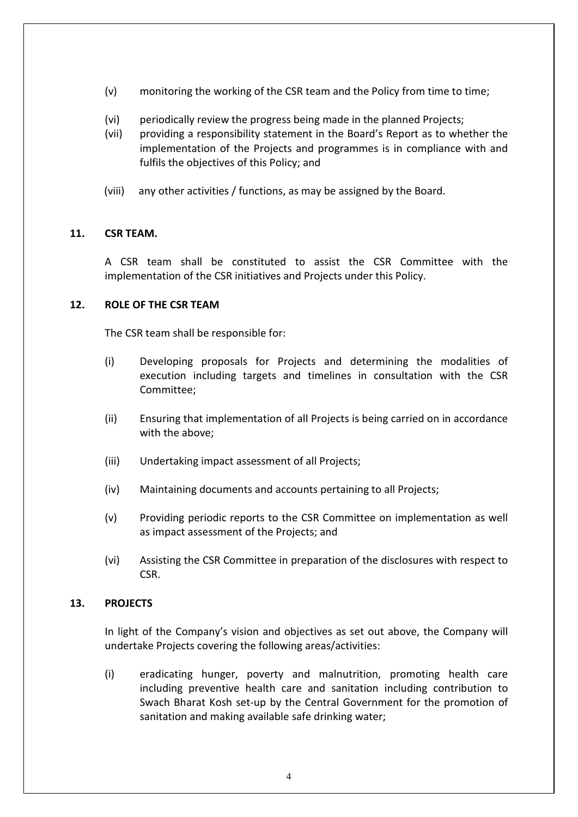- (v) monitoring the working of the CSR team and the Policy from time to time;
- (vi) periodically review the progress being made in the planned Projects;
- (vii) providing a responsibility statement in the Board's Report as to whether the implementation of the Projects and programmes is in compliance with and fulfils the objectives of this Policy; and
- (viii) any other activities / functions, as may be assigned by the Board.

## **11. CSR TEAM.**

A CSR team shall be constituted to assist the CSR Committee with the implementation of the CSR initiatives and Projects under this Policy.

## **12. ROLE OF THE CSR TEAM**

The CSR team shall be responsible for:

- (i) Developing proposals for Projects and determining the modalities of execution including targets and timelines in consultation with the CSR Committee;
- (ii) Ensuring that implementation of all Projects is being carried on in accordance with the above;
- (iii) Undertaking impact assessment of all Projects;
- (iv) Maintaining documents and accounts pertaining to all Projects;
- (v) Providing periodic reports to the CSR Committee on implementation as well as impact assessment of the Projects; and
- (vi) Assisting the CSR Committee in preparation of the disclosures with respect to CSR.

#### **13. PROJECTS**

In light of the Company's vision and objectives as set out above, the Company will undertake Projects covering the following areas/activities:

(i) eradicating hunger, poverty and malnutrition, promoting health care including preventive health care and sanitation including contribution to Swach Bharat Kosh set-up by the Central Government for the promotion of sanitation and making available safe drinking water;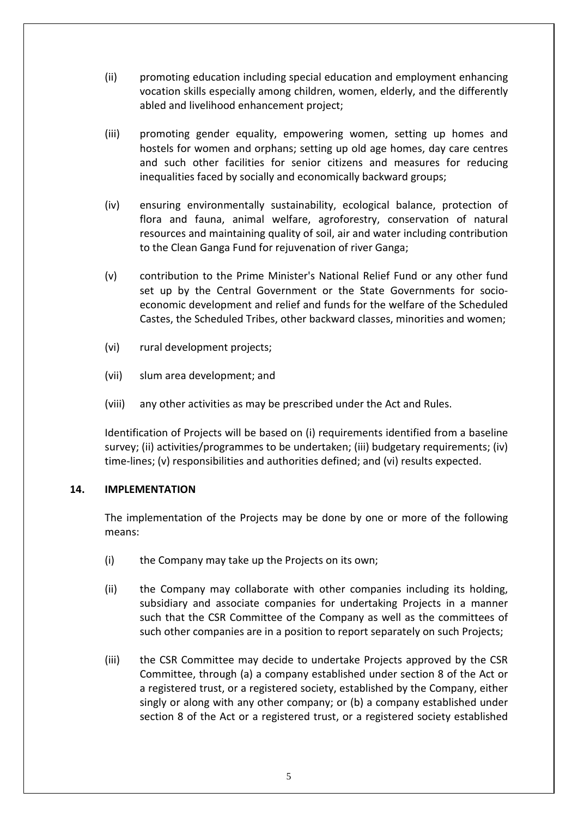- (ii) promoting education including special education and employment enhancing vocation skills especially among children, women, elderly, and the differently abled and livelihood enhancement project;
- (iii) promoting gender equality, empowering women, setting up homes and hostels for women and orphans; setting up old age homes, day care centres and such other facilities for senior citizens and measures for reducing inequalities faced by socially and economically backward groups;
- (iv) ensuring environmentally sustainability, ecological balance, protection of flora and fauna, animal welfare, agroforestry, conservation of natural resources and maintaining quality of soil, air and water including contribution to the Clean Ganga Fund for rejuvenation of river Ganga;
- (v) contribution to the Prime Minister's National Relief Fund or any other fund set up by the Central Government or the State Governments for socioeconomic development and relief and funds for the welfare of the Scheduled Castes, the Scheduled Tribes, other backward classes, minorities and women;
- (vi) rural development projects;
- (vii) slum area development; and
- (viii) any other activities as may be prescribed under the Act and Rules.

Identification of Projects will be based on (i) requirements identified from a baseline survey; (ii) activities/programmes to be undertaken; (iii) budgetary requirements; (iv) time-lines; (v) responsibilities and authorities defined; and (vi) results expected.

#### **14. IMPLEMENTATION**

The implementation of the Projects may be done by one or more of the following means:

- (i) the Company may take up the Projects on its own;
- (ii) the Company may collaborate with other companies including its holding, subsidiary and associate companies for undertaking Projects in a manner such that the CSR Committee of the Company as well as the committees of such other companies are in a position to report separately on such Projects;
- (iii) the CSR Committee may decide to undertake Projects approved by the CSR Committee, through (a) a company established under section 8 of the Act or a registered trust, or a registered society, established by the Company, either singly or along with any other company; or (b) a company established under section 8 of the Act or a registered trust, or a registered society established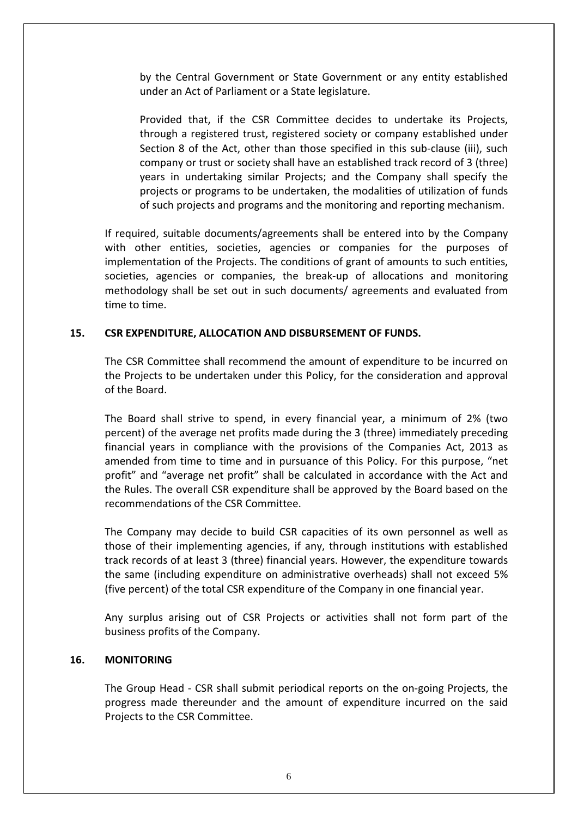by the Central Government or State Government or any entity established under an Act of Parliament or a State legislature.

Provided that, if the CSR Committee decides to undertake its Projects, through a registered trust, registered society or company established under Section 8 of the Act, other than those specified in this sub-clause (iii), such company or trust or society shall have an established track record of 3 (three) years in undertaking similar Projects; and the Company shall specify the projects or programs to be undertaken, the modalities of utilization of funds of such projects and programs and the monitoring and reporting mechanism.

If required, suitable documents/agreements shall be entered into by the Company with other entities, societies, agencies or companies for the purposes of implementation of the Projects. The conditions of grant of amounts to such entities, societies, agencies or companies, the break-up of allocations and monitoring methodology shall be set out in such documents/ agreements and evaluated from time to time.

## **15. CSR EXPENDITURE, ALLOCATION AND DISBURSEMENT OF FUNDS.**

The CSR Committee shall recommend the amount of expenditure to be incurred on the Projects to be undertaken under this Policy, for the consideration and approval of the Board.

The Board shall strive to spend, in every financial year, a minimum of 2% (two percent) of the average net profits made during the 3 (three) immediately preceding financial years in compliance with the provisions of the Companies Act, 2013 as amended from time to time and in pursuance of this Policy. For this purpose, "net profit" and "average net profit" shall be calculated in accordance with the Act and the Rules. The overall CSR expenditure shall be approved by the Board based on the recommendations of the CSR Committee.

The Company may decide to build CSR capacities of its own personnel as well as those of their implementing agencies, if any, through institutions with established track records of at least 3 (three) financial years. However, the expenditure towards the same (including expenditure on administrative overheads) shall not exceed 5% (five percent) of the total CSR expenditure of the Company in one financial year.

Any surplus arising out of CSR Projects or activities shall not form part of the business profits of the Company.

#### **16. MONITORING**

The Group Head - CSR shall submit periodical reports on the on-going Projects, the progress made thereunder and the amount of expenditure incurred on the said Projects to the CSR Committee.